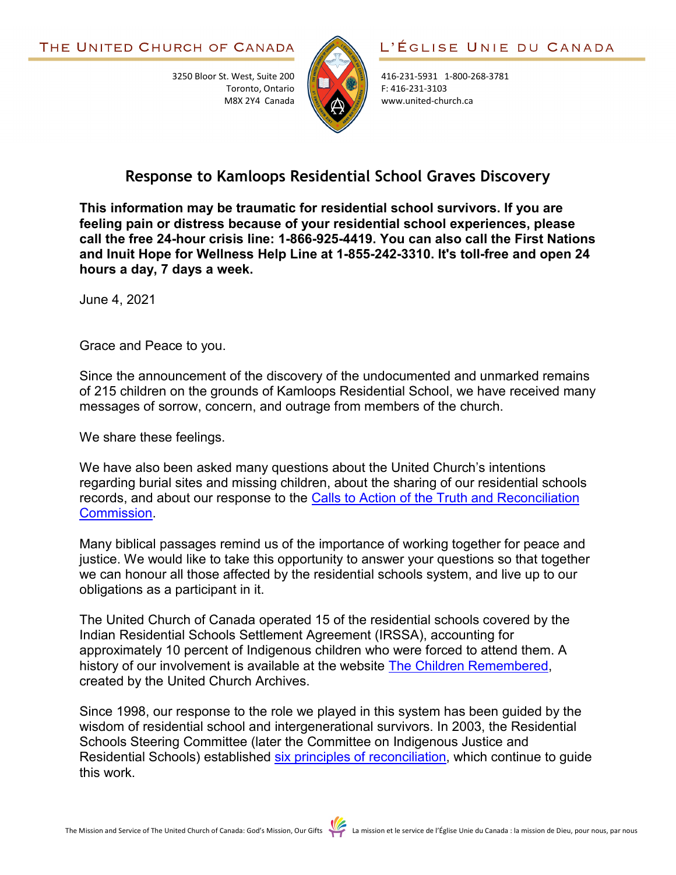3250 Bloor St. West, Suite 200

Toronto, Ontario M8X 2Y4 Canada



416-231-5931 1-800-268-3781 F: 416-231-3103 www.united-church.ca

## **Response to Kamloops Residential School Graves Discovery**

**This information may be traumatic for residential school survivors. If you are feeling pain or distress because of your residential school experiences, please call the free 24-hour crisis line: 1-866-925-4419. You can also call the First Nations and Inuit Hope for Wellness Help Line at 1-855-242-3310. It's toll-free and open 24 hours a day, 7 days a week.**

June 4, 2021

Grace and Peace to you.

Since the announcement of the discovery of the undocumented and unmarked remains of 215 children on the grounds of Kamloops Residential School, we have received many messages of sorrow, concern, and outrage from members of the church.

We share these feelings.

We have also been asked many questions about the United Church's intentions regarding burial sites and missing children, about the sharing of our residential schools records, and about our response to the [Calls to Action of the Truth and Reconciliation](https://united-church.ca/social-action/justice-initiatives/reconciliation-and-indigenous-justice/truth-and-reconciliation)  [Commission.](https://united-church.ca/social-action/justice-initiatives/reconciliation-and-indigenous-justice/truth-and-reconciliation)

Many biblical passages remind us of the importance of working together for peace and justice. We would like to take this opportunity to answer your questions so that together we can honour all those affected by the residential schools system, and live up to our obligations as a participant in it.

The United Church of Canada operated 15 of the residential schools covered by the Indian Residential Schools Settlement Agreement (IRSSA), accounting for approximately 10 percent of Indigenous children who were forced to attend them. A history of our involvement is available at the website [The Children Remembered,](https://thechildrenremembered.ca/) created by the United Church Archives.

Since 1998, our response to the role we played in this system has been guided by the wisdom of residential school and intergenerational survivors. In 2003, the Residential Schools Steering Committee (later the Committee on Indigenous Justice and Residential Schools) established [six principles of reconciliation,](https://united-church.ca/news/response-kamloops-residential-school-graves-discovery#downloads) which continue to guide this work.

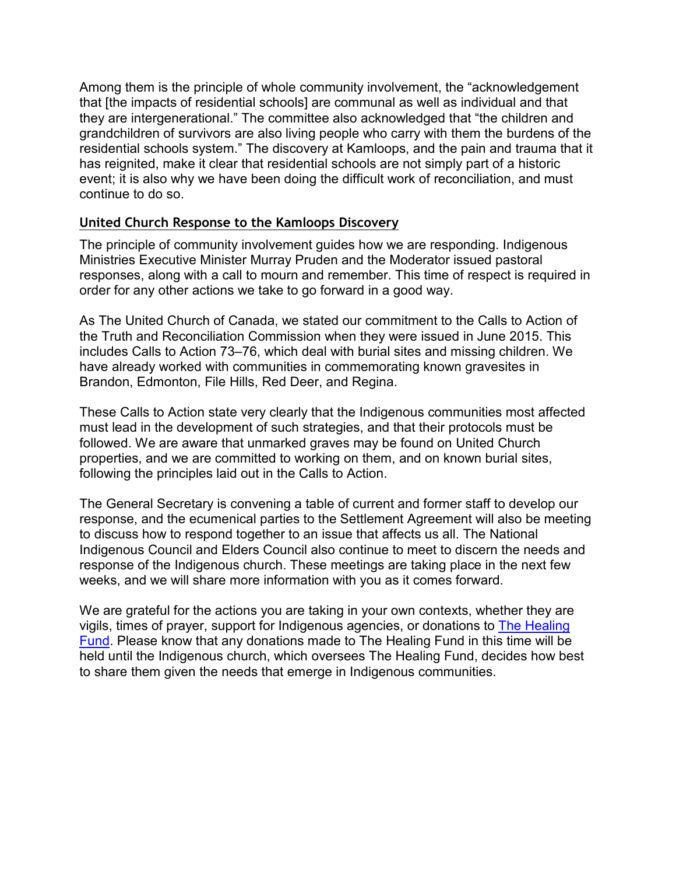Among them is the principle of whole community involvement, the "acknowledgement that [the impacts of residential schools] are communal as well as individual and that they are intergenerational." The committee also acknowledged that "the children and grandchildren of survivors are also living people who carry with them the burdens of the residential schools system." The discovery at Kamloops, and the pain and trauma that it has reignited, make it clear that residential schools are not simply part of a historic event; it is also why we have been doing the difficult work of reconciliation, and must continue to do so.

## **United Church Response to the Kamloops Discovery**

The principle of community involvement guides how we are responding. Indigenous Ministries Executive Minister Murray Pruden and the Moderator issued pastoral responses, along with a call to mourn and remember. This time of respect is required in order for any other actions we take to go forward in a good way.

As The United Church of Canada, we stated our commitment to the Calls to Action of the Truth and Reconciliation Commission when they were issued in June 2015. This includes Calls to Action 73–76, which deal with burial sites and missing children. We have already worked with communities in commemorating known gravesites in Brandon, Edmonton, File Hills, Red Deer, and Regina.

These Calls to Action state very clearly that the Indigenous communities most affected must lead in the development of such strategies, and that their protocols must be followed. We are aware that unmarked graves may be found on United Church properties, and we are committed to working on them, and on known burial sites, following the principles laid out in the Calls to Action.

The General Secretary is convening a table of current and former staff to develop our response, and the ecumenical parties to the Settlement Agreement will also be meeting to discuss how to respond together to an issue that affects us all. The National Indigenous Council and Elders Council also continue to meet to discern the needs and response of the Indigenous church. These meetings are taking place in the next few weeks, and we will share more information with you as it comes forward.

We are grateful for the actions you are taking in your own contexts, whether they are vigils, times of prayer, support for Indigenous agencies, or donations to [The Healing](https://united-church.ca/community-and-faith/being-community/indigenous-ministries/healing-fund)  [Fund.](https://united-church.ca/community-and-faith/being-community/indigenous-ministries/healing-fund) Please know that any donations made to The Healing Fund in this time will be held until the Indigenous church, which oversees The Healing Fund, decides how best to share them given the needs that emerge in Indigenous communities.